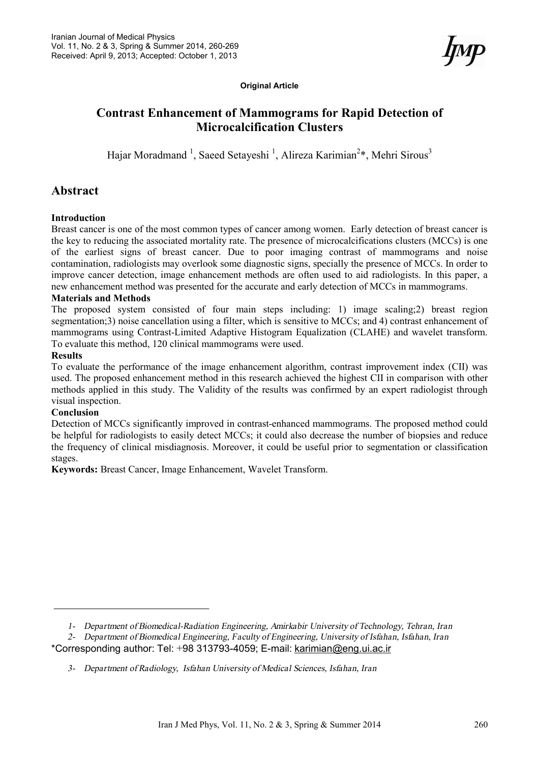**Original Article** 

# **Contrast Enhancement of Mammograms for Rapid Detection of Microcalcification Clusters**

Hajar Moradmand <sup>1</sup>, Saeed Setayeshi <sup>1</sup>, Alireza Karimian<sup>2</sup>\*, Mehri Sirous<sup>3</sup>

## **Abstract**

#### **Introduction**

Breast cancer is one of the most common types of cancer among women. Early detection of breast cancer is the key to reducing the associated mortality rate. The presence of microcalcifications clusters (MCCs) is one of the earliest signs of breast cancer. Due to poor imaging contrast of mammograms and noise contamination, radiologists may overlook some diagnostic signs, specially the presence of MCCs. In order to improve cancer detection, image enhancement methods are often used to aid radiologists. In this paper, a new enhancement method was presented for the accurate and early detection of MCCs in mammograms.

#### **Materials and Methods**

The proposed system consisted of four main steps including: 1) image scaling;2) breast region segmentation;3) noise cancellation using a filter, which is sensitive to MCCs; and 4) contrast enhancement of mammograms using Contrast-Limited Adaptive Histogram Equalization (CLAHE) and wavelet transform. To evaluate this method, 120 clinical mammograms were used.

#### **Results**

To evaluate the performance of the image enhancement algorithm, contrast improvement index (CII) was used. The proposed enhancement method in this research achieved the highest CII in comparison with other methods applied in this study. The Validity of the results was confirmed by an expert radiologist through visual inspection.

#### **Conclusion**

Detection of MCCs significantly improved in contrast-enhanced mammograms. The proposed method could be helpful for radiologists to easily detect MCCs; it could also decrease the number of biopsies and reduce the frequency of clinical misdiagnosis. Moreover, it could be useful prior to segmentation or classification stages.

**Keywords:** Breast Cancer, Image Enhancement, Wavelet Transform.

*<sup>1-</sup> Department of Biomedical-Radiation Engineering, Amirkabir University of Technology, Tehran, Iran* 

*<sup>2-</sup> Department of Biomedical Engineering, Faculty of Engineering, University of Isfahan, Isfahan, Iran*  \*Corresponding author: Tel: +98 313793-4059; E-mail: [karimian@eng.ui.ac.ir](mailto:karimian@eng.ui.ac.ir)

*<sup>3-</sup> Department of Radiology, Isfahan University of Medical Sciences, Isfahan, Iran*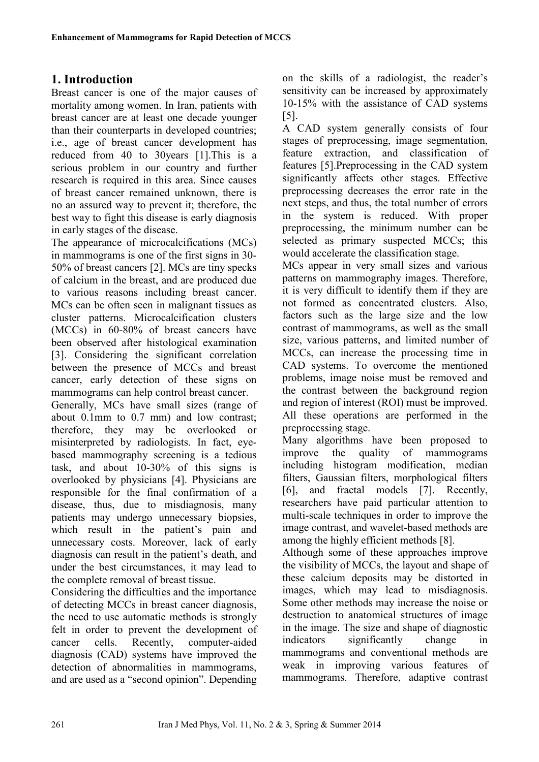# **1. Introduction**

Breast cancer is one of the major causes of mortality among women. In Iran, patients with breast cancer are at least one decade younger than their counterparts in developed countries; i.e., age of breast cancer development has reduced from 40 to 30years [1].This is a serious problem in our country and further research is required in this area. Since causes of breast cancer remained unknown, there is no an assured way to prevent it; therefore, the best way to fight this disease is early diagnosis in early stages of the disease.

The appearance of microcalcifications (MCs) in mammograms is one of the first signs in 30- 50% of breast cancers [2]. MCs are tiny specks of calcium in the breast, and are produced due to various reasons including breast cancer. MCs can be often seen in malignant tissues as cluster patterns. Microcalcification clusters (MCCs) in 60-80% of breast cancers have been observed after histological examination [3]. Considering the significant correlation between the presence of MCCs and breast cancer, early detection of these signs on mammograms can help control breast cancer.

Generally, MCs have small sizes (range of about 0.1mm to 0.7 mm) and low contrast; therefore, they may be overlooked or misinterpreted by radiologists. In fact, eyebased mammography screening is a tedious task, and about 10-30% of this signs is overlooked by physicians [4]. Physicians are responsible for the final confirmation of a disease, thus, due to misdiagnosis, many patients may undergo unnecessary biopsies, which result in the patient's pain and unnecessary costs. Moreover, lack of early diagnosis can result in the patient's death, and under the best circumstances, it may lead to the complete removal of breast tissue.

Considering the difficulties and the importance of detecting MCCs in breast cancer diagnosis, the need to use automatic methods is strongly felt in order to prevent the development of cancer cells. Recently, computer-aided diagnosis (CAD) systems have improved the detection of abnormalities in mammograms, and are used as a "second opinion". Depending

on the skills of a radiologist, the reader's sensitivity can be increased by approximately 10-15% with the assistance of CAD systems [5].

A CAD system generally consists of four stages of preprocessing, image segmentation, feature extraction, and classification of features [5].Preprocessing in the CAD system significantly affects other stages. Effective preprocessing decreases the error rate in the next steps, and thus, the total number of errors in the system is reduced. With proper preprocessing, the minimum number can be selected as primary suspected MCCs; this would accelerate the classification stage.

MCs appear in very small sizes and various patterns on mammography images. Therefore, it is very difficult to identify them if they are not formed as concentrated clusters. Also, factors such as the large size and the low contrast of mammograms, as well as the small size, various patterns, and limited number of MCCs, can increase the processing time in CAD systems. To overcome the mentioned problems, image noise must be removed and the contrast between the background region and region of interest (ROI) must be improved. All these operations are performed in the preprocessing stage.

Many algorithms have been proposed to improve the quality of mammograms including histogram modification, median filters, Gaussian filters, morphological filters [6], and fractal models [7]. Recently, researchers have paid particular attention to multi-scale techniques in order to improve the image contrast, and wavelet-based methods are among the highly efficient methods [8].

Although some of these approaches improve the visibility of MCCs, the layout and shape of these calcium deposits may be distorted in images, which may lead to misdiagnosis. Some other methods may increase the noise or destruction to anatomical structures of image in the image. The size and shape of diagnostic indicators significantly change in mammograms and conventional methods are weak in improving various features of mammograms. Therefore, adaptive contrast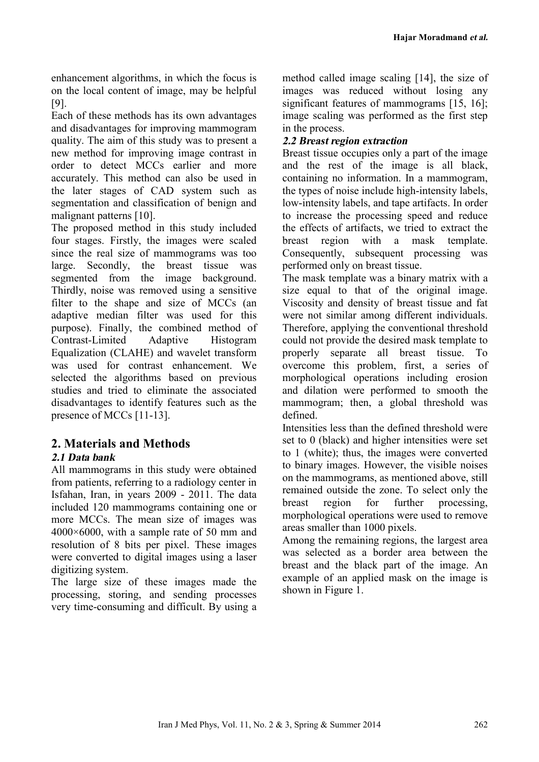enhancement algorithms, in which the focus is on the local content of image, may be helpful [9].

Each of these methods has its own advantages and disadvantages for improving mammogram quality. The aim of this study was to present a new method for improving image contrast in order to detect MCCs earlier and more accurately. This method can also be used in the later stages of CAD system such as segmentation and classification of benign and malignant patterns [10].

The proposed method in this study included four stages. Firstly, the images were scaled since the real size of mammograms was too large. Secondly, the breast tissue was segmented from the image background. Thirdly, noise was removed using a sensitive filter to the shape and size of MCCs (an adaptive median filter was used for this purpose). Finally, the combined method of Contrast-Limited Adaptive Histogram Equalization (CLAHE) and wavelet transform was used for contrast enhancement. We selected the algorithms based on previous studies and tried to eliminate the associated disadvantages to identify features such as the presence of MCCs [11-13].

# **2. Materials and Methods**

## *2.1 Data bank*

All mammograms in this study were obtained from patients, referring to a radiology center in Isfahan, Iran, in years 2009 - 2011. The data included 120 mammograms containing one or more MCCs. The mean size of images was 4000×6000, with a sample rate of 50 mm and resolution of 8 bits per pixel. These images were converted to digital images using a laser digitizing system.

The large size of these images made the processing, storing, and sending processes very time-consuming and difficult. By using a method called image scaling [14], the size of images was reduced without losing any significant features of mammograms [15, 16]; image scaling was performed as the first step in the process.

## *2.2 Breast region extraction*

Breast tissue occupies only a part of the image and the rest of the image is all black, containing no information. In a mammogram, the types of noise include high-intensity labels, low-intensity labels, and tape artifacts. In order to increase the processing speed and reduce the effects of artifacts, we tried to extract the breast region with a mask template. Consequently, subsequent processing was performed only on breast tissue.

The mask template was a binary matrix with a size equal to that of the original image. Viscosity and density of breast tissue and fat were not similar among different individuals. Therefore, applying the conventional threshold could not provide the desired mask template to properly separate all breast tissue. To overcome this problem, first, a series of morphological operations including erosion and dilation were performed to smooth the mammogram; then, a global threshold was defined.

Intensities less than the defined threshold were set to 0 (black) and higher intensities were set to 1 (white); thus, the images were converted to binary images. However, the visible noises on the mammograms, as mentioned above, still remained outside the zone. To select only the breast region for further processing, morphological operations were used to remove areas smaller than 1000 pixels.

Among the remaining regions, the largest area was selected as a border area between the breast and the black part of the image. An example of an applied mask on the image is shown in Figure 1.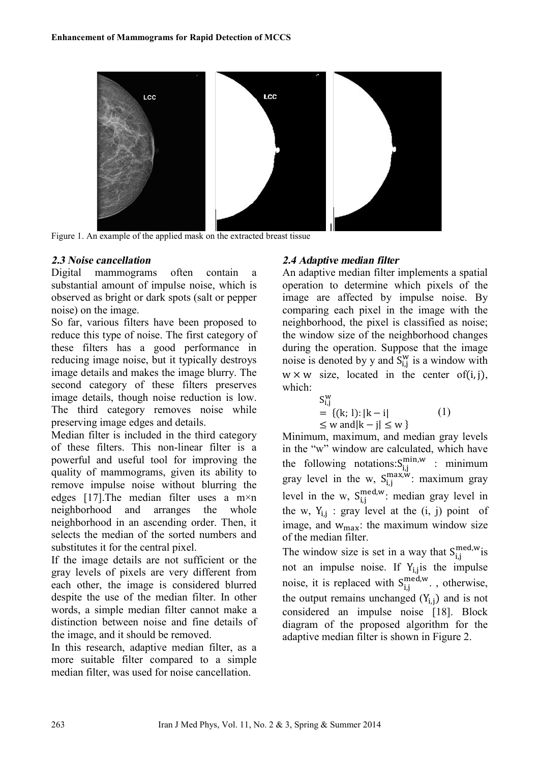

Figure 1. An example of the applied mask on the extracted breast tissue

### *2.3 Noise cancellation*

Digital mammograms often contain a substantial amount of impulse noise, which is observed as bright or dark spots (salt or pepper noise) on the image.

So far, various filters have been proposed to reduce this type of noise. The first category of these filters has a good performance in reducing image noise, but it typically destroys image details and makes the image blurry. The second category of these filters preserves image details, though noise reduction is low. The third category removes noise while preserving image edges and details.

Median filter is included in the third category of these filters. This non-linear filter is a powerful and useful tool for improving the quality of mammograms, given its ability to remove impulse noise without blurring the edges [17].The median filter uses a m×n neighborhood and arranges the whole neighborhood in an ascending order. Then, it selects the median of the sorted numbers and substitutes it for the central pixel.

If the image details are not sufficient or the gray levels of pixels are very different from each other, the image is considered blurred despite the use of the median filter. In other words, a simple median filter cannot make a distinction between noise and fine details of the image, and it should be removed.

In this research, adaptive median filter, as a more suitable filter compared to a simple median filter, was used for noise cancellation.

## *2.4 Adaptive median filter*

An adaptive median filter implements a spatial operation to determine which pixels of the image are affected by impulse noise. By comparing each pixel in the image with the neighborhood, the pixel is classified as noise; the window size of the neighborhood changes during the operation. Suppose that the image noise is denoted by y and  $S_{i,j}^W$  is a window with  $w \times w$  size, located in the center of(i, j), which:

$$
S_{i,j}^{w} = \{(k; 1): |k - i| \le w \text{ and } |k - j| \le w \}
$$
 (1)

Minimum, maximum, and median gray levels in the "w" window are calculated, which have the following notations: $S_{i,j}^{m n,w}$  : minimum gray level in the w,  $S_{i,j}^{\max,w}$ : maximum gray level in the w,  $S_{i,j}^{med,w}$ : median gray level in the w,  $Y_{i,j}$  : gray level at the  $(i, j)$  point of image, and  $w_{\text{max}}$ : the maximum window size of the median filter.

The window size is set in a way that  $S_{i,j}^{\text{med},w}$  is not an impulse noise. If  $Y_{i,j}$  is the impulse noise, it is replaced with  $S_{i,j}^{\text{med,w}}$ ., otherwise, the output remains unchanged  $(Y_{i,j})$  and is not considered an impulse noise [18]. Block diagram of the proposed algorithm for the adaptive median filter is shown in Figure 2.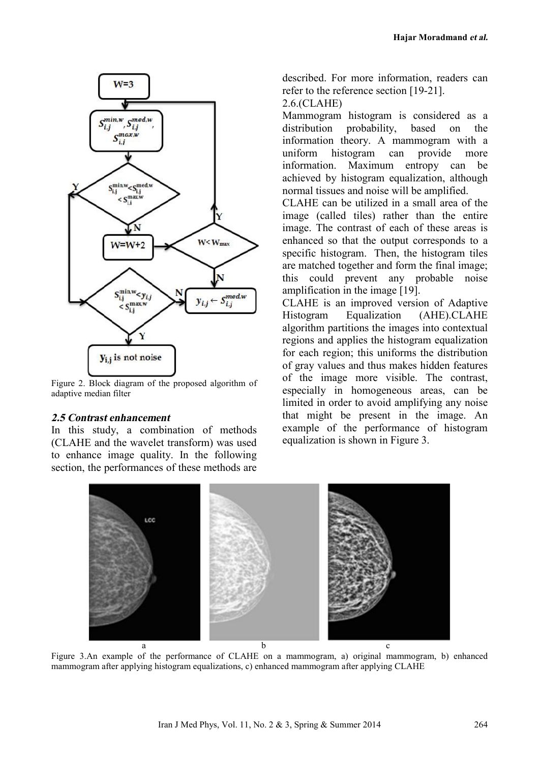

Figure 2. Block diagram of the proposed algorithm of adaptive median filter

#### *2.5 Contrast enhancement*

In this study, a combination of methods (CLAHE and the wavelet transform) was used to enhance image quality. In the following section, the performances of these methods are described. For more information, readers can refer to the reference section [19-21]. 2.6.(CLAHE)

Mammogram histogram is considered as a distribution probability, based on the information theory. A mammogram with a uniform histogram can provide more information. Maximum entropy can be achieved by histogram equalization, although normal tissues and noise will be amplified.

CLAHE can be utilized in a small area of the image (called tiles) rather than the entire image. The contrast of each of these areas is enhanced so that the output corresponds to a specific histogram. Then, the histogram tiles are matched together and form the final image; this could prevent any probable noise amplification in the image [19].

CLAHE is an improved version of Adaptive Histogram Equalization (AHE).CLAHE algorithm partitions the images into contextual regions and applies the histogram equalization for each region; this uniforms the distribution of gray values and thus makes hidden features of the image more visible. The contrast, especially in homogeneous areas, can be limited in order to avoid amplifying any noise that might be present in the image. An example of the performance of histogram equalization is shown in Figure 3.



Figure 3.An example of the performance of CLAHE on a mammogram, a) original mammogram, b) enhanced mammogram after applying histogram equalizations, c) enhanced mammogram after applying CLAHE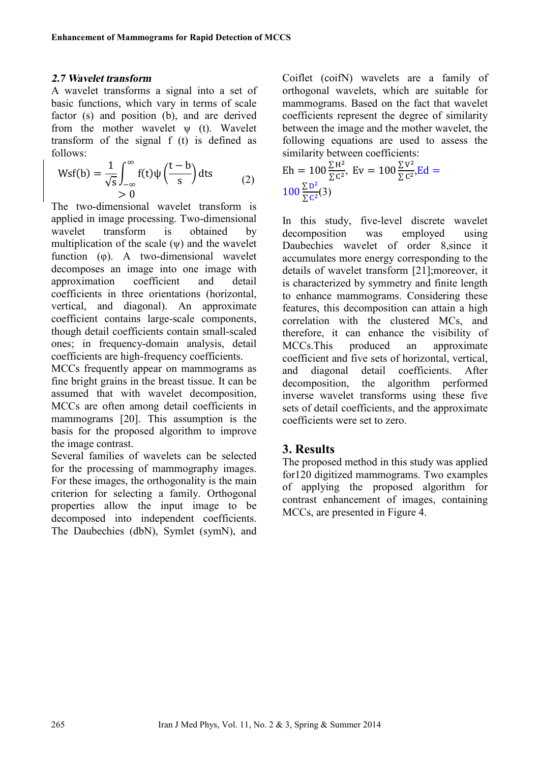#### *2.7 Wavelet transform*

A wavelet transforms a signal into a set of basic functions, which vary in terms of scale factor (s) and position (b), and are derived from the mother wavelet  $\psi$  (t). Wavelet transform of the signal f (t) is defined as follows:

$$
\text{Wsf}(b) = \frac{1}{\sqrt{s}} \int_{-\infty}^{\infty} f(t) \psi\left(\frac{t-b}{s}\right) dt s \tag{2}
$$

The two-dimensional wavelet transform is applied in image processing. Two-dimensional wavelet transform is obtained by multiplication of the scale  $(\psi)$  and the wavelet function (φ). A two-dimensional wavelet decomposes an image into one image with approximation coefficient and detail coefficients in three orientations (horizontal, vertical, and diagonal). An approximate coefficient contains large-scale components, though detail coefficients contain small-scaled ones; in frequency-domain analysis, detail coefficients are high-frequency coefficients.

MCCs frequently appear on mammograms as fine bright grains in the breast tissue. It can be assumed that with wavelet decomposition MCCs are often among detail coefficients in mammograms [20]. This assumption is the basis for the proposed algorithm to improve the image contrast.

Several families of wavelets can be selected for the processing of mammography images. For these images, the orthogonality is the main criterion for selecting a family. Orthogonal properties allow the input image to be decomposed into independent coefficients. The Daubechies (dbN), Symlet (symN), and Coiflet (coifN) wavelets are a family of orthogonal wavelets, which are suitable for mammograms. Based on the fact that wavelet coefficients represent the degree of similarity between the image and the mother wavelet, the following equations are used to assess the similarity between coefficients:

$$
\text{Eh} = 100 \frac{\Sigma H^2}{\Sigma C^2}, \text{Ev} = 100 \frac{\Sigma V^2}{\Sigma C^2}, \text{Ed} = 100 \frac{\Sigma D^2}{\Sigma C^2}.
$$

In this study, five-level discrete wavelet decomposition was employed using Daubechies wavelet of order 8,since it accumulates more energy corresponding to the details of wavelet transform [21];moreover, it is characterized by symmetry and finite length to enhance mammograms. Considering these features, this decomposition can attain a high correlation with the clustered MCs, and therefore, it can enhance the visibility of MCCs.This produced an approximate coefficient and five sets of horizontal, vertical, and diagonal detail coefficients. After decomposition, the algorithm performed inverse wavelet transforms using these five sets of detail coefficients, and the approximate coefficients were set to zero.

## **3. Results**

The proposed method in this study was applied for120 digitized mammograms. Two examples of applying the proposed algorithm for contrast enhancement of images, containing MCCs, are presented in Figure 4.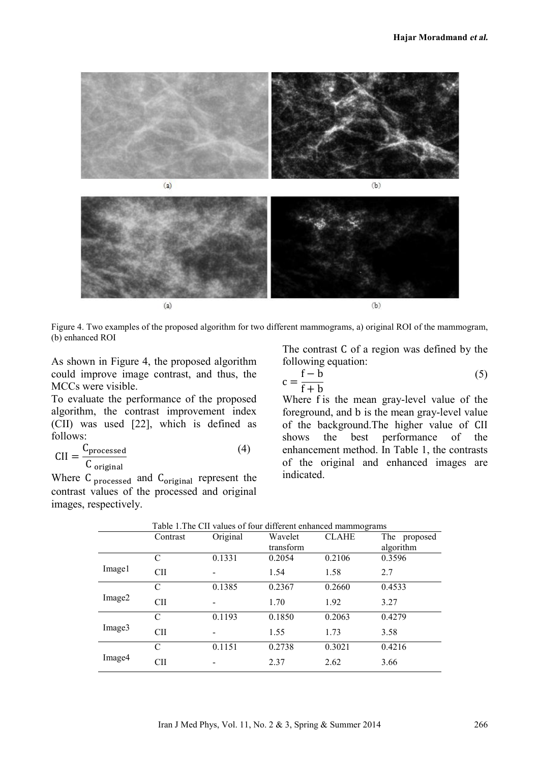



 $(a)$ 

Figure 4. Two examples of the proposed algorithm for two different mammograms, a) original ROI of the mammogram, (b) enhanced ROI

As shown in Figure 4, the proposed algorithm could improve image contrast, and thus, the MCCs were visible.

To evaluate the performance of the proposed algorithm, the contrast improvement index (CII) was used [22], which is defined as follows:

$$
CII = \frac{C_{\text{processed}}}{C_{\text{original}}}
$$
 (4)

Where C<sub>processed</sub> and C<sub>original</sub> represent the contrast values of the processed and original images, respectively.

The contrast C of a region was defined by the following equation:

$$
c = \frac{f - b}{f + b} \tag{5}
$$

Where f is the mean gray-level value of the foreground, and b is the mean gray-level value of the background.The higher value of CII<br>shows the best performance of the best performance enhancement method. In Table 1, the contrasts of the original and enhanced images are indicated.

|        | Table 1. The CII values of four different enhanced mammograms |          |           |              |              |
|--------|---------------------------------------------------------------|----------|-----------|--------------|--------------|
|        | Contrast                                                      | Original | Wavelet   | <b>CLAHE</b> | The proposed |
|        |                                                               |          | transform |              | algorithm    |
| Image1 | C                                                             | 0.1331   | 0.2054    | 0.2106       | 0.3596       |
|        | <b>CII</b>                                                    |          | 1.54      | 1.58         | 2.7          |
| Image2 | C                                                             | 0.1385   | 0.2367    | 0.2660       | 0.4533       |
|        | <b>CII</b>                                                    |          | 1.70      | 1.92         | 3.27         |
| Image3 | $\mathcal{C}$                                                 | 0.1193   | 0.1850    | 0.2063       | 0.4279       |
|        | <b>CII</b>                                                    |          | 1.55      | 1.73         | 3.58         |
| Image4 | $\mathcal{C}$                                                 | 0.1151   | 0.2738    | 0.3021       | 0.4216       |
|        | CШ                                                            |          | 2.37      | 2.62         | 3.66         |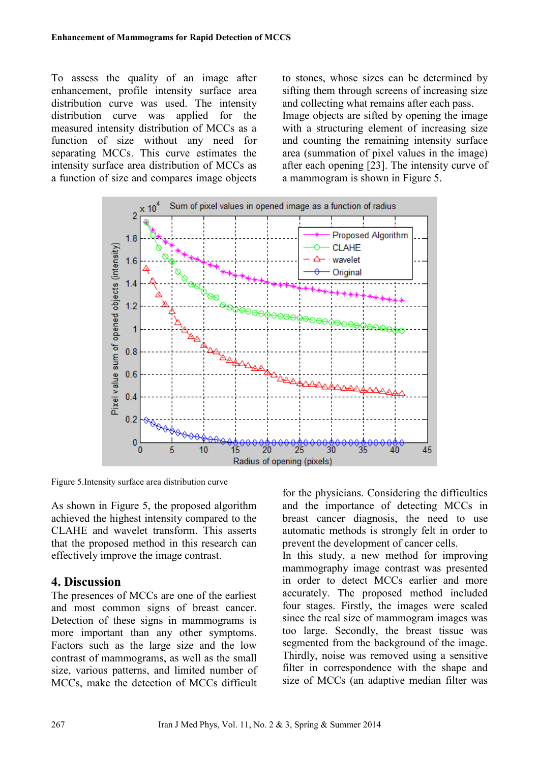To assess the quality of an image after enhancement, profile intensity surface area distribution curve was used. The intensity distribution curve was applied for the measured intensity distribution of MCCs as a function of size without any need for separating MCCs. This curve estimates the intensity surface area distribution of MCCs as a function of size and compares image objects

to stones, whose sizes can be determined by sifting them through screens of increasing size and collecting what remains after each pass. Image objects are sifted by opening the image with a structuring element of increasing size and counting the remaining intensity surface area (summation of pixel values in the image) after each opening [23]. The intensity curve of a mammogram is shown in Figure 5.



Figure 5.Intensity surface area distribution curve

As shown in Figure 5, the proposed algorithm achieved the highest intensity compared to the CLAHE and wavelet transform. This asserts that the proposed method in this research can effectively improve the image contrast.

# **4. Discussion**

The presences of MCCs are one of the earliest and most common signs of breast cancer. Detection of these signs in mammograms is more important than any other symptoms. Factors such as the large size and the low contrast of mammograms, as well as the small size, various patterns, and limited number of MCCs, make the detection of MCCs difficult

for the physicians. Considering the difficulties and the importance of detecting MCCs in breast cancer diagnosis, the need to use automatic methods is strongly felt in order to prevent the development of cancer cells.

In this study, a new method for improving mammography image contrast was presented in order to detect MCCs earlier and more accurately. The proposed method included four stages. Firstly, the images were scaled since the real size of mammogram images was too large. Secondly, the breast tissue was segmented from the background of the image. Thirdly, noise was removed using a sensitive filter in correspondence with the shape and size of MCCs (an adaptive median filter was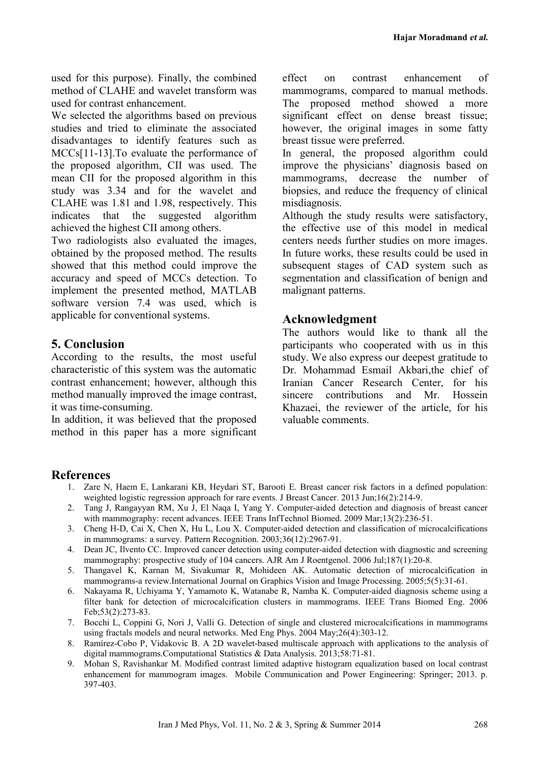used for this purpose). Finally, the combined method of CLAHE and wavelet transform was used for contrast enhancement.

We selected the algorithms based on previous studies and tried to eliminate the associated disadvantages to identify features such as MCCs[11-13].To evaluate the performance of the proposed algorithm, CII was used. The mean CII for the proposed algorithm in this study was 3.34 and for the wavelet and CLAHE was 1.81 and 1.98, respectively. This indicates that the suggested algorithm achieved the highest CII among others.

Two radiologists also evaluated the images, obtained by the proposed method. The results showed that this method could improve the accuracy and speed of MCCs detection. To implement the presented method, MATLAB software version 7.4 was used, which is applicable for conventional systems.

## **5. Conclusion**

According to the results, the most useful characteristic of this system was the automatic contrast enhancement; however, although this method manually improved the image contrast, it was time-consuming.

In addition, it was believed that the proposed method in this paper has a more significant

effect on contrast enhancement of mammograms, compared to manual methods. The proposed method showed a more significant effect on dense breast tissue; however, the original images in some fatty breast tissue were preferred.

In general, the proposed algorithm could improve the physicians' diagnosis based on mammograms, decrease the number of biopsies, and reduce the frequency of clinical misdiagnosis.

Although the study results were satisfactory, the effective use of this model in medical centers needs further studies on more images. In future works, these results could be used in subsequent stages of CAD system such as segmentation and classification of benign and malignant patterns.

## **Acknowledgment**

The authors would like to thank all the participants who cooperated with us in this study. We also express our deepest gratitude to Dr. Mohammad Esmail Akbari,the chief of Iranian Cancer Research Center, for his sincere contributions and Mr. Hossein Khazaei, the reviewer of the article, for his valuable comments.

## **References**

- 1. Zare N, Haem E, Lankarani KB, Heydari ST, Barooti E. Breast cancer risk factors in a defined population: weighted logistic regression approach for rare events. J Breast Cancer. 2013 Jun;16(2):214-9.
- 2. Tang J, Rangayyan RM, Xu J, El Naqa I, Yang Y. Computer-aided detection and diagnosis of breast cancer with mammography: recent advances. IEEE Trans InfTechnol Biomed. 2009 Mar;13(2):236-51.
- 3. Cheng H-D, Cai X, Chen X, Hu L, Lou X. Computer-aided detection and classification of microcalcifications in mammograms: a survey. Pattern Recognition. 2003;36(12):2967-91.
- 4. Dean JC, Ilvento CC. Improved cancer detection using computer-aided detection with diagnostic and screening mammography: prospective study of 104 cancers. AJR Am J Roentgenol. 2006 Jul;187(1):20-8.
- 5. Thangavel K, Karnan M, Sivakumar R, Mohideen AK. Automatic detection of microcalcification in mammograms-a review.International Journal on Graphics Vision and Image Processing. 2005;5(5):31-61.
- 6. Nakayama R, Uchiyama Y, Yamamoto K, Watanabe R, Namba K. Computer-aided diagnosis scheme using a filter bank for detection of microcalcification clusters in mammograms. IEEE Trans Biomed Eng. 2006 Feb;53(2):273-83.
- 7. Bocchi L, Coppini G, Nori J, Valli G. Detection of single and clustered microcalcifications in mammograms using fractals models and neural networks. Med Eng Phys. 2004 May;26(4):303-12.
- 8. Ramírez-Cobo P, Vidakovic B. A 2D wavelet-based multiscale approach with applications to the analysis of digital mammograms.Computational Statistics & Data Analysis. 2013;58:71-81.
- 9. Mohan S, Ravishankar M. Modified contrast limited adaptive histogram equalization based on local contrast enhancement for mammogram images. Mobile Communication and Power Engineering: Springer; 2013. p. 397-403.